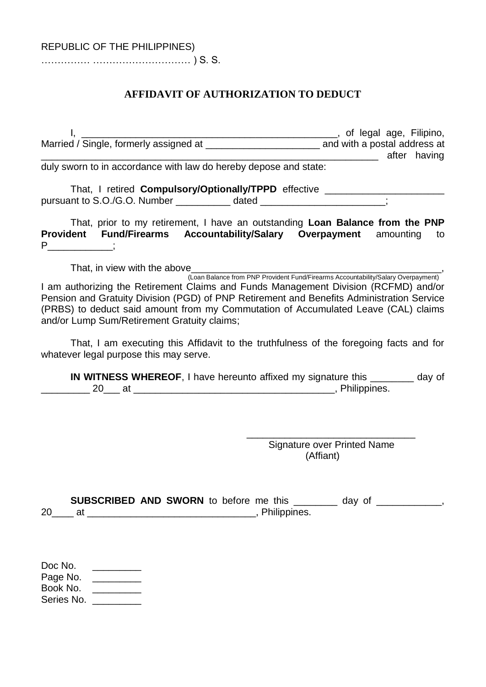…………… ………………………… ) S. S.

## **AFFIDAVIT OF AUTHORIZATION TO DEDUCT**

I, \_\_\_\_\_\_\_\_\_\_\_\_\_\_\_\_\_\_\_\_\_\_\_\_\_\_\_\_\_\_\_\_\_\_\_\_\_\_\_\_\_\_\_\_\_\_\_, of legal age, Filipino, Married / Single, formerly assigned at \_\_\_\_\_\_\_\_\_\_\_\_\_\_\_\_\_\_\_\_\_\_\_\_\_\_\_\_\_ and with a postal address at exter having

duly sworn to in accordance with law do hereby depose and state:

That, I retired **Compulsory/Optionally/TPPD** effective \_\_\_\_\_\_\_\_\_\_\_\_\_\_\_\_\_\_\_\_\_\_\_\_\_\_ pursuant to S.O./G.O. Number \_\_\_\_\_\_\_\_\_\_\_ dated \_\_\_\_\_\_\_\_\_\_\_\_\_\_\_\_\_\_\_\_\_\_\_;

That, prior to my retirement, I have an outstanding **Loan Balance from the PNP Provident Fund/Firearms Accountability/Salary Overpayment** amounting to P<sup>\_\_\_\_\_\_\_\_\_</sup>;

That, in view with the above\_\_\_\_\_\_\_\_\_\_\_\_\_\_\_\_\_\_\_\_\_\_\_\_\_\_\_\_\_\_\_\_\_\_\_\_\_\_\_\_\_\_\_\_\_\_,

(Loan Balance from PNP Provident Fund/Firearms Accountability/Salary Overpayment) I am authorizing the Retirement Claims and Funds Management Division (RCFMD) and/or Pension and Gratuity Division (PGD) of PNP Retirement and Benefits Administration Service (PRBS) to deduct said amount from my Commutation of Accumulated Leave (CAL) claims and/or Lump Sum/Retirement Gratuity claims;

That, I am executing this Affidavit to the truthfulness of the foregoing facts and for whatever legal purpose this may serve.

**IN WITNESS WHEREOF**, I have hereunto affixed my signature this \_\_\_\_\_\_\_\_ day of 20 at 20 at  $\sim$  20 at  $\sim$  20 at  $\sim$  20 at  $\sim$  20 at  $\sim$  20 at  $\sim$  20 at  $\sim$  20 at  $\sim$  20 at  $\sim$  20 at  $\sim$  20 at  $\sim$  20 at  $\sim$  20 at  $\sim$  20 at  $\sim$  20 at  $\sim$  20 at  $\sim$  20 at  $\sim$  20 at  $\sim$  20 at  $\sim$  20 at

> \_\_\_\_\_\_\_\_\_\_\_\_\_\_\_\_\_\_\_\_\_\_\_\_\_\_\_\_\_\_\_ Signature over Printed Name (Affiant)

**SUBSCRIBED AND SWORN** to before me this \_\_\_\_\_\_\_\_ day of \_\_\_\_\_\_\_\_\_\_\_\_, 20\_\_\_\_ at \_\_\_\_\_\_\_\_\_\_\_\_\_\_\_\_\_\_\_\_\_\_\_\_\_\_\_\_\_\_\_, Philippines.

| Doc No.    |  |
|------------|--|
| Page No.   |  |
| Book No.   |  |
| Series No. |  |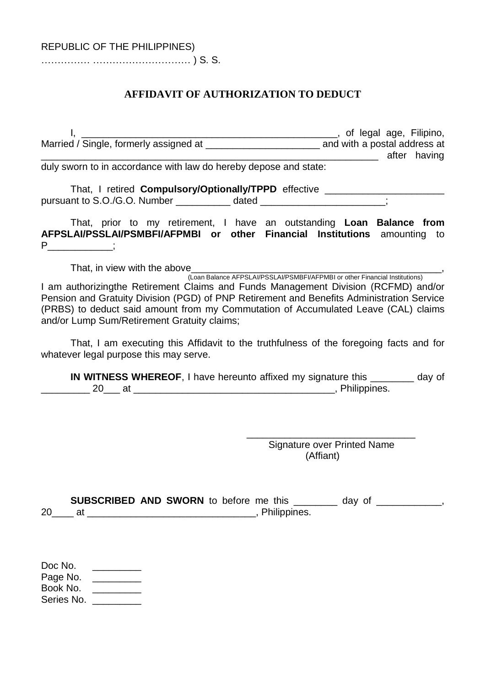…………… ………………………… ) S. S.

## **AFFIDAVIT OF AUTHORIZATION TO DEDUCT**

I, \_\_\_\_\_\_\_\_\_\_\_\_\_\_\_\_\_\_\_\_\_\_\_\_\_\_\_\_\_\_\_\_\_\_\_\_\_\_\_\_\_\_\_\_\_\_\_, of legal age, Filipino, Married / Single, formerly assigned at \_\_\_\_\_\_\_\_\_\_\_\_\_\_\_\_\_\_\_\_\_\_\_\_\_\_\_\_\_ and with a postal address at exter having

duly sworn to in accordance with law do hereby depose and state:

That, I retired **Compulsory/Optionally/TPPD** effective \_\_\_\_\_\_\_\_\_\_\_\_\_\_\_\_\_\_\_\_\_\_\_\_\_\_ pursuant to S.O./G.O. Number \_\_\_\_\_\_\_\_\_\_\_ dated \_\_\_\_\_\_\_\_\_\_\_\_\_\_\_\_\_\_\_\_\_\_\_;

That, prior to my retirement, I have an outstanding **Loan Balance from AFPSLAI/PSSLAI/PSMBFI/AFPMBI or other Financial Institutions** amounting to  $P \qquad ;$ 

That, in view with the above

(Loan Balance AFPSLAI/PSSLAI/PSMBFI/AFPMBI or other Financial Institutions) I am authorizingthe Retirement Claims and Funds Management Division (RCFMD) and/or Pension and Gratuity Division (PGD) of PNP Retirement and Benefits Administration Service (PRBS) to deduct said amount from my Commutation of Accumulated Leave (CAL) claims and/or Lump Sum/Retirement Gratuity claims;

That, I am executing this Affidavit to the truthfulness of the foregoing facts and for whatever legal purpose this may serve.

**IN WITNESS WHEREOF**, I have hereunto affixed my signature this \_\_\_\_\_\_\_\_ day of 20 at 20 at  $\sim$  20 at  $\sim$  20 at  $\sim$  20 at  $\sim$  20 at  $\sim$  20 at  $\sim$  20 at  $\sim$  20 at  $\sim$  20 at  $\sim$  20 at  $\sim$  20 at  $\sim$  20 at  $\sim$  20 at  $\sim$  20 at  $\sim$  20 at  $\sim$  20 at  $\sim$  20 at  $\sim$  20 at  $\sim$  20 at  $\sim$  20 at

> \_\_\_\_\_\_\_\_\_\_\_\_\_\_\_\_\_\_\_\_\_\_\_\_\_\_\_\_\_\_\_ Signature over Printed Name (Affiant)

**SUBSCRIBED AND SWORN** to before me this \_\_\_\_\_\_\_\_ day of \_\_\_\_\_\_\_\_\_\_\_\_, 20\_\_\_\_ at \_\_\_\_\_\_\_\_\_\_\_\_\_\_\_\_\_\_\_\_\_\_\_\_\_\_\_\_\_\_\_, Philippines.

| Doc No.    |  |
|------------|--|
| Page No.   |  |
| Book No.   |  |
| Series No. |  |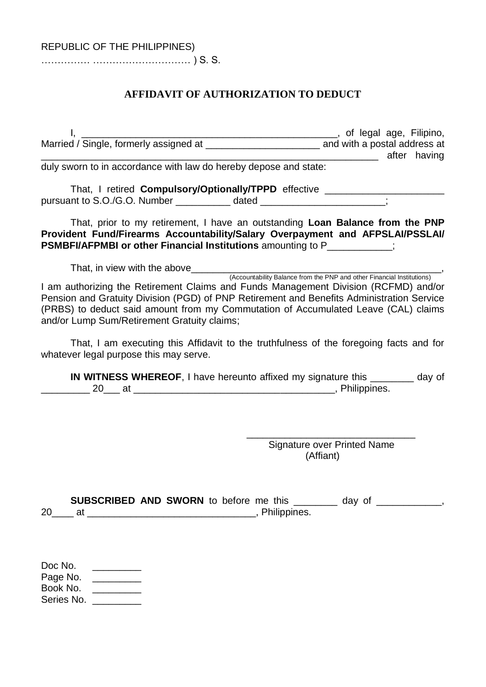…………… ………………………… ) S. S.

#### **AFFIDAVIT OF AUTHORIZATION TO DEDUCT**

I, \_\_\_\_\_\_\_\_\_\_\_\_\_\_\_\_\_\_\_\_\_\_\_\_\_\_\_\_\_\_\_\_\_\_\_\_\_\_\_\_\_\_\_\_\_\_\_, of legal age, Filipino, Married / Single, formerly assigned at \_\_\_\_\_\_\_\_\_\_\_\_\_\_\_\_\_\_\_\_\_\_\_\_\_\_\_\_\_ and with a postal address at exter having

duly sworn to in accordance with law do hereby depose and state:

That, I retired **Compulsory/Optionally/TPPD** effective \_\_\_\_\_\_\_\_\_\_\_\_\_\_\_\_\_\_\_\_\_\_\_\_\_\_ pursuant to S.O./G.O. Number \_\_\_\_\_\_\_\_\_\_\_ dated \_\_\_\_\_\_\_\_\_\_\_\_\_\_\_\_\_\_\_\_\_\_\_;

That, prior to my retirement, I have an outstanding **Loan Balance from the PNP Provident Fund/Firearms Accountability/Salary Overpayment and AFPSLAI/PSSLAI/ PSMBFI/AFPMBI or other Financial Institutions** amounting to P  $\vdots$ 

That, in view with the above\_\_\_\_\_\_\_\_\_\_\_\_\_\_\_\_\_\_\_\_\_\_\_\_\_\_\_\_\_\_\_\_\_\_\_\_\_\_\_\_\_\_\_\_\_\_, (Accountability Balance from the PNP and other Financial Institutions) I am authorizing the Retirement Claims and Funds Management Division (RCFMD) and/or Pension and Gratuity Division (PGD) of PNP Retirement and Benefits Administration Service (PRBS) to deduct said amount from my Commutation of Accumulated Leave (CAL) claims and/or Lump Sum/Retirement Gratuity claims;

That, I am executing this Affidavit to the truthfulness of the foregoing facts and for whatever legal purpose this may serve.

**IN WITNESS WHEREOF**, I have hereunto affixed my signature this \_\_\_\_\_\_\_\_ day of 20 at  $\blacksquare$  20 at  $\blacksquare$ 

> \_\_\_\_\_\_\_\_\_\_\_\_\_\_\_\_\_\_\_\_\_\_\_\_\_\_\_\_\_\_\_ Signature over Printed Name (Affiant)

**SUBSCRIBED AND SWORN** to before me this \_\_\_\_\_\_\_\_ day of \_\_\_\_\_\_\_\_\_\_\_\_, 20\_\_\_\_ at \_\_\_\_\_\_\_\_\_\_\_\_\_\_\_\_\_\_\_\_\_\_\_\_\_\_\_\_\_\_\_, Philippines.

| Doc No.    |  |
|------------|--|
| Page No.   |  |
| Book No.   |  |
| Series No. |  |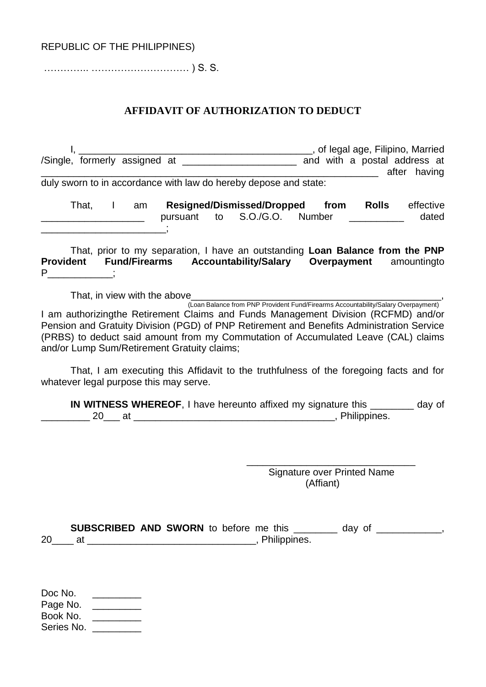# REPUBLIC OF THE PHILIPPINES)

………….. ………………………… ) S. S.

## **AFFIDAVIT OF AUTHORIZATION TO DEDUCT**

| duly sworn to in accordance with law do hereby depose and state:                                                                                                                                                                                                                                                                                               | after having                                                                                                                                                                                                |
|----------------------------------------------------------------------------------------------------------------------------------------------------------------------------------------------------------------------------------------------------------------------------------------------------------------------------------------------------------------|-------------------------------------------------------------------------------------------------------------------------------------------------------------------------------------------------------------|
| That, I am                                                                                                                                                                                                                                                                                                                                                     | Resigned/Dismissed/Dropped from<br><b>Rolls</b> effective<br>to S.O./G.O. Number<br>dated                                                                                                                   |
| Provident Fund/Firearms Accountability/Salary Overpayment amountingto<br>$P$ ;                                                                                                                                                                                                                                                                                 | That, prior to my separation, I have an outstanding Loan Balance from the PNP                                                                                                                               |
| I am authorizingthe Retirement Claims and Funds Management Division (RCFMD) and/or<br>Pension and Gratuity Division (PGD) of PNP Retirement and Benefits Administration Service<br>(PRBS) to deduct said amount from my Commutation of Accumulated Leave (CAL) claims<br>and/or Lump Sum/Retirement Gratuity claims;<br>whatever legal purpose this may serve. | That, in view with the above<br>(Loan Balance from PNP Provident Fund/Firearms Accountability/Salary Overpayment)<br>That, I am executing this Affidavit to the truthfulness of the foregoing facts and for |
|                                                                                                                                                                                                                                                                                                                                                                | IN WITNESS WHEREOF, I have hereunto affixed my signature this ________ day of                                                                                                                               |
|                                                                                                                                                                                                                                                                                                                                                                | <b>Signature over Printed Name</b><br>(Affiant)                                                                                                                                                             |
|                                                                                                                                                                                                                                                                                                                                                                | SUBSCRIBED AND SWORN to before me this _________ day of ____________,                                                                                                                                       |
| Doc No. $\qquad \qquad \qquad$<br>Page No. _________<br>Book No. ________<br>Series No. _________                                                                                                                                                                                                                                                              |                                                                                                                                                                                                             |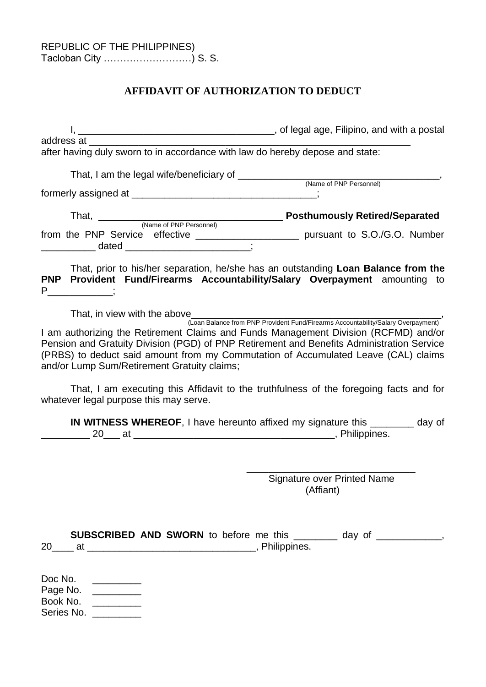# **AFFIDAVIT OF AUTHORIZATION TO DEDUCT**

|                                                                                                   | composite the postal control of legal age, Filipino, and with a postal                                                                                                                                                                                                                                                                                                                                                                     |           |                                    |  |
|---------------------------------------------------------------------------------------------------|--------------------------------------------------------------------------------------------------------------------------------------------------------------------------------------------------------------------------------------------------------------------------------------------------------------------------------------------------------------------------------------------------------------------------------------------|-----------|------------------------------------|--|
|                                                                                                   |                                                                                                                                                                                                                                                                                                                                                                                                                                            |           |                                    |  |
|                                                                                                   | after having duly sworn to in accordance with law do hereby depose and state:                                                                                                                                                                                                                                                                                                                                                              |           |                                    |  |
|                                                                                                   |                                                                                                                                                                                                                                                                                                                                                                                                                                            |           | (Name of PNP Personnel)            |  |
|                                                                                                   |                                                                                                                                                                                                                                                                                                                                                                                                                                            |           |                                    |  |
|                                                                                                   |                                                                                                                                                                                                                                                                                                                                                                                                                                            |           |                                    |  |
|                                                                                                   | from the PNP Service effective _____________________ pursuant to S.O./G.O. Number<br>_______________ dated ____________________________;                                                                                                                                                                                                                                                                                                   |           |                                    |  |
| $P \quad \underline{\qquad}$                                                                      | That, prior to his/her separation, he/she has an outstanding Loan Balance from the<br>PNP Provident Fund/Firearms Accountability/Salary Overpayment amounting to                                                                                                                                                                                                                                                                           |           |                                    |  |
|                                                                                                   | That, in view with the above<br>(Loan Balance from PNP Provident Fund/Firearms Accountability/Salary Overpayment)<br>I am authorizing the Retirement Claims and Funds Management Division (RCFMD) and/or<br>Pension and Gratuity Division (PGD) of PNP Retirement and Benefits Administration Service<br>(PRBS) to deduct said amount from my Commutation of Accumulated Leave (CAL) claims<br>and/or Lump Sum/Retirement Gratuity claims; |           |                                    |  |
| whatever legal purpose this may serve.                                                            | That, I am executing this Affidavit to the truthfulness of the foregoing facts and for                                                                                                                                                                                                                                                                                                                                                     |           |                                    |  |
|                                                                                                   | IN WITNESS WHEREOF, I have hereunto affixed my signature this ________ day of                                                                                                                                                                                                                                                                                                                                                              |           |                                    |  |
|                                                                                                   |                                                                                                                                                                                                                                                                                                                                                                                                                                            |           |                                    |  |
|                                                                                                   |                                                                                                                                                                                                                                                                                                                                                                                                                                            |           | <b>Signature over Printed Name</b> |  |
|                                                                                                   |                                                                                                                                                                                                                                                                                                                                                                                                                                            | (Affiant) |                                    |  |
|                                                                                                   | SUBSCRIBED AND SWORN to before me this ________ day of ___________,                                                                                                                                                                                                                                                                                                                                                                        |           |                                    |  |
| Doc No. $\qquad \qquad \qquad$<br>Page No. ________<br>Book No. _________<br>Series No. _________ |                                                                                                                                                                                                                                                                                                                                                                                                                                            |           |                                    |  |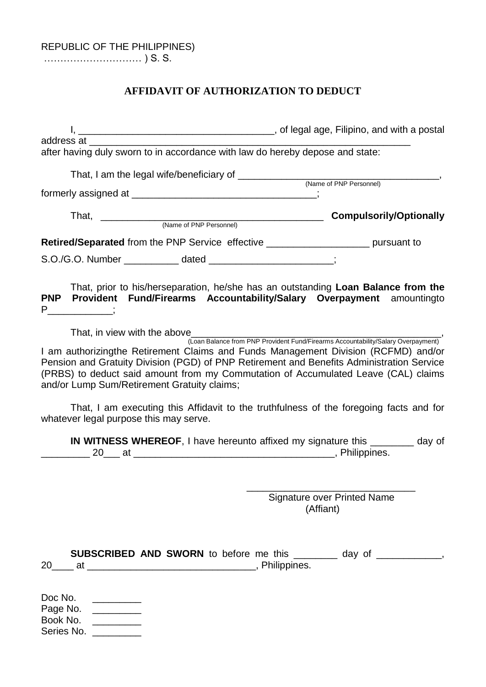………………………… ) S. S.

# **AFFIDAVIT OF AUTHORIZATION TO DEDUCT**

|                                             | after having duly sworn to in accordance with law do hereby depose and state: |                                                                                                                                                                                                                                                                                                                                                                                            |
|---------------------------------------------|-------------------------------------------------------------------------------|--------------------------------------------------------------------------------------------------------------------------------------------------------------------------------------------------------------------------------------------------------------------------------------------------------------------------------------------------------------------------------------------|
|                                             |                                                                               |                                                                                                                                                                                                                                                                                                                                                                                            |
|                                             | formerly assigned at __________________________________;                      |                                                                                                                                                                                                                                                                                                                                                                                            |
|                                             |                                                                               | <b>Compulsorily/Optionally</b>                                                                                                                                                                                                                                                                                                                                                             |
|                                             |                                                                               | <b>Retired/Separated</b> from the PNP Service effective _______________________ pursuant to                                                                                                                                                                                                                                                                                                |
|                                             | S.O./G.O. Number _____________ dated ______________________;                  |                                                                                                                                                                                                                                                                                                                                                                                            |
| $P$ _____________;                          |                                                                               | That, prior to his/herseparation, he/she has an outstanding Loan Balance from the<br>PNP Provident Fund/Firearms Accountability/Salary Overpayment amountingto                                                                                                                                                                                                                             |
|                                             |                                                                               |                                                                                                                                                                                                                                                                                                                                                                                            |
| and/or Lump Sum/Retirement Gratuity claims; |                                                                               | That, in view with the above<br>(Loan Balance from PNP Provident Fund/Firearms Accountability/Salary Overpayment)<br>I am authorizingthe Retirement Claims and Funds Management Division (RCFMD) and/or<br>Pension and Gratuity Division (PGD) of PNP Retirement and Benefits Administration Service<br>(PRBS) to deduct said amount from my Commutation of Accumulated Leave (CAL) claims |
| whatever legal purpose this may serve.      |                                                                               | That, I am executing this Affidavit to the truthfulness of the foregoing facts and for                                                                                                                                                                                                                                                                                                     |
|                                             |                                                                               | IN WITNESS WHEREOF, I have hereunto affixed my signature this ________ day of                                                                                                                                                                                                                                                                                                              |
|                                             |                                                                               | <b>Signature over Printed Name</b><br>(Affiant)                                                                                                                                                                                                                                                                                                                                            |
|                                             |                                                                               | SUBSCRIBED AND SWORN to before me this ________ day of ___________,                                                                                                                                                                                                                                                                                                                        |

Doc No. \_\_\_\_\_\_\_\_\_\_\_ Page No. \_\_\_\_\_\_\_\_\_\_\_ Book No. \_\_\_\_\_\_\_\_\_\_ Series No. \_\_\_\_\_\_\_\_\_\_